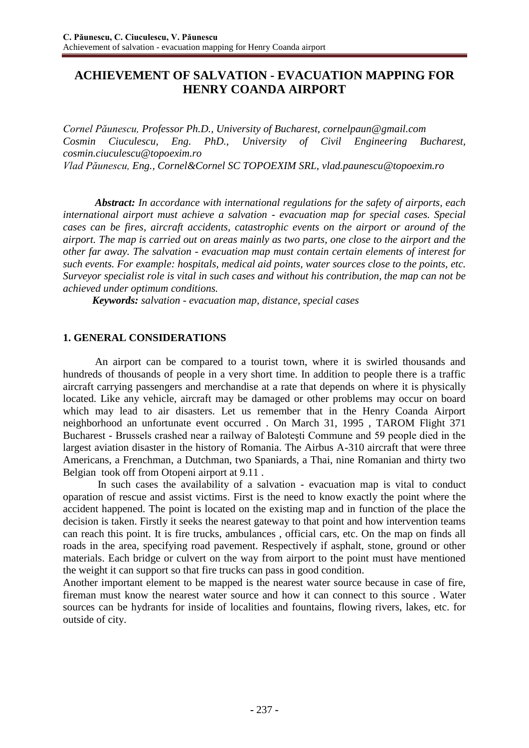# **ACHIEVEMENT OF SALVATION - EVACUATION MAPPING FOR HENRY COANDA AIRPORT**

*Cornel Păunescu, Professor Ph.D., University of Bucharest, [cornelpaun@gmail.com](mailto:cornelpaun@gmail.com) Cosmin Ciuculescu, Eng. PhD., University of Civil Engineering Bucharest, [cosmin.ciuculescu@topoexim.ro](mailto:cosmin.ciuculescu@topoexim.ro) Vlad Păunescu, Eng., Cornel&Cornel SC TOPOEXIM SRL, [vlad.paunescu@topoexim.ro](mailto:vlad.paunescu@topoexim.ro)*

 *Abstract: In accordance with international regulations for the safety of airports, each international airport must achieve a salvation - evacuation map for special cases. Special cases can be fires, aircraft accidents, catastrophic events on the airport or around of the airport. The map is carried out on areas mainly as two parts, one close to the airport and the other far away. The salvation - evacuation map must contain certain elements of interest for such events. For example: hospitals, medical aid points, water sources close to the points, etc. Surveyor specialist role is vital in such cases and without his contribution, the map can not be achieved under optimum conditions.*

 *Keywords: salvation - evacuation map, distance, special cases*

### **1. GENERAL CONSIDERATIONS**

An airport can be compared to a tourist town, where it is swirled thousands and hundreds of thousands of people in a very short time. In addition to people there is a traffic aircraft carrying passengers and merchandise at a rate that depends on where it is physically located. Like any vehicle, aircraft may be damaged or other problems may occur on board which may lead to air disasters. Let us remember that in the Henry Coanda Airport neighborhood an unfortunate event occurred . On March 31, 1995 , TAROM Flight 371 Bucharest - Brussels crashed near a railway of Baloteşti Commune and 59 people died in the largest aviation disaster in the history of Romania. The Airbus A-310 aircraft that were three Americans, a Frenchman, a Dutchman, two Spaniards, a Thai, nine Romanian and thirty two Belgian took off from Otopeni airport at 9.11 .

In such cases the availability of a salvation - evacuation map is vital to conduct oparation of rescue and assist victims. First is the need to know exactly the point where the accident happened. The point is located on the existing map and in function of the place the decision is taken. Firstly it seeks the nearest gateway to that point and how intervention teams can reach this point. It is fire trucks, ambulances , official cars, etc. On the map on finds all roads in the area, specifying road pavement. Respectively if asphalt, stone, ground or other materials. Each bridge or culvert on the way from airport to the point must have mentioned the weight it can support so that fire trucks can pass in good condition.

Another important element to be mapped is the nearest water source because in case of fire, fireman must know the nearest water source and how it can connect to this source . Water sources can be hydrants for inside of localities and fountains, flowing rivers, lakes, etc. for outside of city.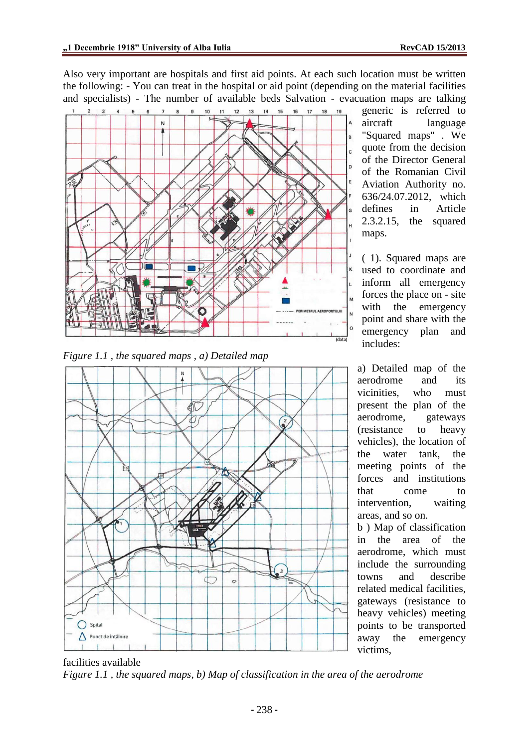Also very important are hospitals and first aid points. At each such location must be written the following: - You can treat in the hospital or aid point (depending on the material facilities and specialists) - The number of available beds Salvation - evacuation maps are talking



*Figure 1.1 , the squared maps , a) Detailed map*



generic is referred to aircraft language "Squared maps" . We quote from the decision of the Director General of the Romanian Civil Aviation Authority no. 636/24.07.2012, which defines in Article 2.3.2.15, the squared maps.

( 1). Squared maps are used to coordinate and inform all emergency forces the place on - site with the emergency point and share with the emergency plan and includes:

a) Detailed map of the aerodrome and its vicinities, who must present the plan of the aerodrome, gateways (resistance to heavy vehicles), the location of the water tank, the meeting points of the forces and institutions that come to intervention, waiting areas, and so on.

b ) Map of classification in the area of the aerodrome, which must include the surrounding towns and describe related medical facilities, gateways (resistance to heavy vehicles) meeting points to be transported away the emergency victims,

facilities available *Figure 1.1 , the squared maps, b) Map of classification in the area of the aerodrome*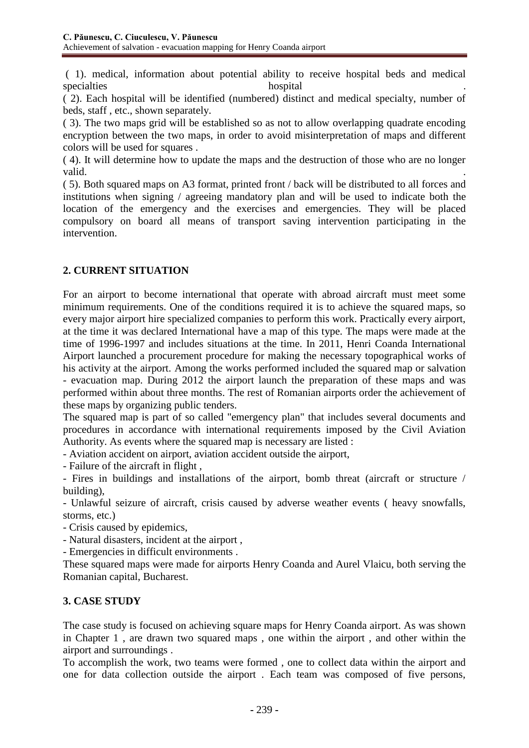( 1). medical, information about potential ability to receive hospital beds and medical specialties hospital hospital the number of the set of the set of the set of the set of the set of the set of the set of the set of the set of the set of the set of the set of the set of the set of the set of the set of th

( 2). Each hospital will be identified (numbered) distinct and medical specialty, number of beds, staff , etc., shown separately.

( 3). The two maps grid will be established so as not to allow overlapping quadrate encoding encryption between the two maps, in order to avoid misinterpretation of maps and different colors will be used for squares .

( 4). It will determine how to update the maps and the destruction of those who are no longer valid.

( 5). Both squared maps on A3 format, printed front / back will be distributed to all forces and institutions when signing / agreeing mandatory plan and will be used to indicate both the location of the emergency and the exercises and emergencies. They will be placed compulsory on board all means of transport saving intervention participating in the intervention.

## **2. CURRENT SITUATION**

For an airport to become international that operate with abroad aircraft must meet some minimum requirements. One of the conditions required it is to achieve the squared maps, so every major airport hire specialized companies to perform this work. Practically every airport, at the time it was declared International have a map of this type. The maps were made at the time of 1996-1997 and includes situations at the time. In 2011, Henri Coanda International Airport launched a procurement procedure for making the necessary topographical works of his activity at the airport. Among the works performed included the squared map or salvation - evacuation map. During 2012 the airport launch the preparation of these maps and was performed within about three months. The rest of Romanian airports order the achievement of these maps by organizing public tenders.

The squared map is part of so called "emergency plan" that includes several documents and procedures in accordance with international requirements imposed by the Civil Aviation Authority. As events where the squared map is necessary are listed :

- Aviation accident on airport, aviation accident outside the airport,

- Failure of the aircraft in flight ,

- Fires in buildings and installations of the airport, bomb threat (aircraft or structure / building),

- Unlawful seizure of aircraft, crisis caused by adverse weather events ( heavy snowfalls, storms, etc.)

- Crisis caused by epidemics,

- Natural disasters, incident at the airport ,

- Emergencies in difficult environments .

These squared maps were made for airports Henry Coanda and Aurel Vlaicu, both serving the Romanian capital, Bucharest.

## **3. CASE STUDY**

The case study is focused on achieving square maps for Henry Coanda airport. As was shown in Chapter 1 , are drawn two squared maps , one within the airport , and other within the airport and surroundings .

To accomplish the work, two teams were formed , one to collect data within the airport and one for data collection outside the airport . Each team was composed of five persons,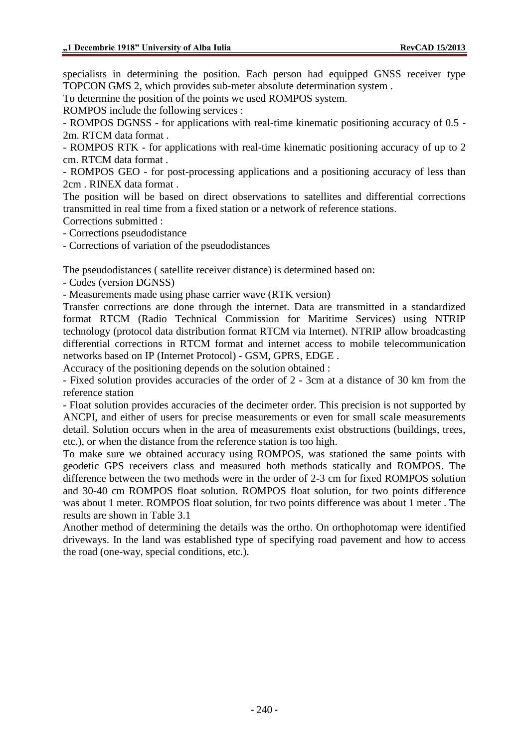specialists in determining the position. Each person had equipped GNSS receiver type TOPCON GMS 2, which provides sub-meter absolute determination system .

To determine the position of the points we used ROMPOS system.

ROMPOS include the following services :

- ROMPOS DGNSS - for applications with real-time kinematic positioning accuracy of 0.5 - 2m. RTCM data format .

- ROMPOS RTK - for applications with real-time kinematic positioning accuracy of up to 2 cm. RTCM data format .

- ROMPOS GEO - for post-processing applications and a positioning accuracy of less than 2cm . RINEX data format .

The position will be based on direct observations to satellites and differential corrections transmitted in real time from a fixed station or a network of reference stations.

Corrections submitted :

- Corrections pseudodistance

- Corrections of variation of the pseudodistances

The pseudodistances ( satellite receiver distance) is determined based on:

- Codes (version DGNSS)

- Measurements made using phase carrier wave (RTK version)

Transfer corrections are done through the internet. Data are transmitted in a standardized format RTCM (Radio Technical Commission for Maritime Services) using NTRIP technology (protocol data distribution format RTCM via Internet). NTRIP allow broadcasting differential corrections in RTCM format and internet access to mobile telecommunication networks based on IP (Internet Protocol) - GSM, GPRS, EDGE .

Accuracy of the positioning depends on the solution obtained :

- Fixed solution provides accuracies of the order of 2 - 3cm at a distance of 30 km from the reference station

- Float solution provides accuracies of the decimeter order. This precision is not supported by ANCPI, and either of users for precise measurements or even for small scale measurements detail. Solution occurs when in the area of measurements exist obstructions (buildings, trees, etc.), or when the distance from the reference station is too high.

To make sure we obtained accuracy using ROMPOS, was stationed the same points with geodetic GPS receivers class and measured both methods statically and ROMPOS. The difference between the two methods were in the order of 2-3 cm for fixed ROMPOS solution and 30-40 cm ROMPOS float solution. ROMPOS float solution, for two points difference was about 1 meter. ROMPOS float solution, for two points difference was about 1 meter . The results are shown in Table 3.1

Another method of determining the details was the ortho. On orthophotomap were identified driveways. In the land was established type of specifying road pavement and how to access the road (one-way, special conditions, etc.).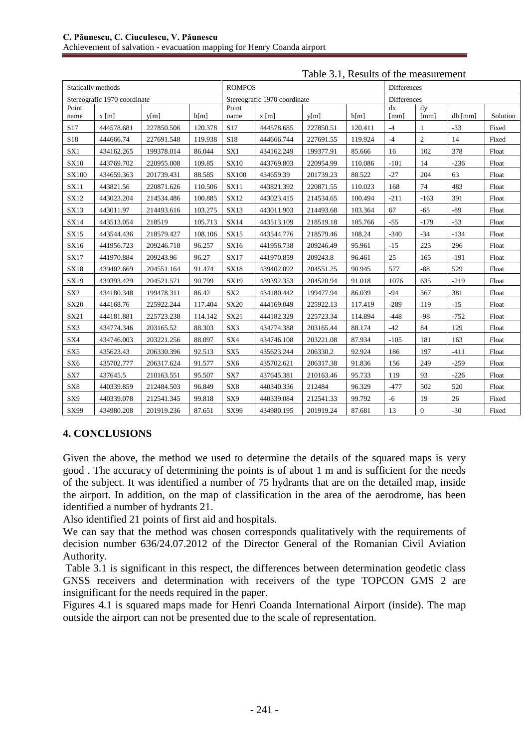| Statically methods           |                 |            |         | <b>ROMPOS</b>                |                 |           |         | Differences |                |         |          |
|------------------------------|-----------------|------------|---------|------------------------------|-----------------|-----------|---------|-------------|----------------|---------|----------|
| Stereografic 1970 coordinate |                 |            |         | Stereografic 1970 coordinate |                 |           |         | Differences |                |         |          |
| Point<br>name                | $x \, \text{m}$ | v[m]       | h[m]    | Point<br>name                | $x \, \text{m}$ | v[m]      | h[m]    | dx<br>[mm]  | dy<br>[mm]     | dh [mm] | Solution |
| S <sub>17</sub>              | 444578.681      | 227850.506 | 120.378 | S <sub>17</sub>              | 444578.685      | 227850.51 | 120.411 | $-4$        | $\mathbf{1}$   | $-33$   | Fixed    |
| S18                          | 444666.74       | 227691.548 | 119.938 | S18                          | 444666.744      | 227691.55 | 119.924 | $-4$        | $\overline{c}$ | 14      | Fixed    |
| SX1                          | 434162.265      | 199378.014 | 86.044  | SX1                          | 434162.249      | 199377.91 | 85.666  | 16          | 102            | 378     | Float    |
| <b>SX10</b>                  | 443769.702      | 220955.008 | 109.85  | <b>SX10</b>                  | 443769.803      | 220954.99 | 110.086 | $-101$      | 14             | $-236$  | Float    |
| <b>SX100</b>                 | 434659.363      | 201739.431 | 88.585  | SX100                        | 434659.39       | 201739.23 | 88.522  | $-27$       | 204            | 63      | Float    |
| <b>SX11</b>                  | 443821.56       | 220871.626 | 110.506 | <b>SX11</b>                  | 443821.392      | 220871.55 | 110.023 | 168         | 74             | 483     | Float    |
| <b>SX12</b>                  | 443023.204      | 214534.486 | 100.885 | SX12                         | 443023.415      | 214534.65 | 100.494 | $-211$      | $-163$         | 391     | Float    |
| SX13                         | 443011.97       | 214493.616 | 103.275 | SX13                         | 443011.903      | 214493.68 | 103.364 | 67          | $-65$          | $-89$   | Float    |
| <b>SX14</b>                  | 443513.054      | 218519     | 105.713 | SX14                         | 443513.109      | 218519.18 | 105.766 | $-55$       | $-179$         | $-53$   | Float    |
| <b>SX15</b>                  | 443544.436      | 218579.427 | 108.106 | <b>SX15</b>                  | 443544.776      | 218579.46 | 108.24  | $-340$      | $-34$          | $-134$  | Float    |
| SX16                         | 441956.723      | 209246.718 | 96.257  | SX16                         | 441956.738      | 209246.49 | 95.961  | $-15$       | 225            | 296     | Float    |
| <b>SX17</b>                  | 441970.884      | 209243.96  | 96.27   | <b>SX17</b>                  | 441970.859      | 209243.8  | 96.461  | 25          | 165            | $-191$  | Float    |
| <b>SX18</b>                  | 439402.669      | 204551.164 | 91.474  | <b>SX18</b>                  | 439402.092      | 204551.25 | 90.945  | 577         | $-88$          | 529     | Float    |
| SX19                         | 439393.429      | 204521.571 | 90.799  | SX19                         | 439392.353      | 204520.94 | 91.018  | 1076        | 635            | $-219$  | Float    |
| SX <sub>2</sub>              | 434180.348      | 199478.311 | 86.42   | SX <sub>2</sub>              | 434180.442      | 199477.94 | 86.039  | $-94$       | 367            | 381     | Float    |
| <b>SX20</b>                  | 444168.76       | 225922.244 | 117.404 | <b>SX20</b>                  | 444169.049      | 225922.13 | 117.419 | $-289$      | 119            | $-15$   | Float    |
| SX21                         | 444181.881      | 225723.238 | 114.142 | SX21                         | 444182.329      | 225723.34 | 114.894 | $-448$      | $-98$          | $-752$  | Float    |
| SX3                          | 434774.346      | 203165.52  | 88.303  | SX3                          | 434774.388      | 203165.44 | 88.174  | $-42$       | 84             | 129     | Float    |
| SX4                          | 434746.003      | 203221.256 | 88.097  | SX4                          | 434746.108      | 203221.08 | 87.934  | $-105$      | 181            | 163     | Float    |
| SX <sub>5</sub>              | 435623.43       | 206330.396 | 92.513  | SX5                          | 435623.244      | 206330.2  | 92.924  | 186         | 197            | $-411$  | Float    |
| SX <sub>6</sub>              | 435702.777      | 206317.624 | 91.577  | SX <sub>6</sub>              | 435702.621      | 206317.38 | 91.836  | 156         | 249            | $-259$  | Float    |
| ${\rm SX7}$                  | 437645.5        | 210163.551 | 95.507  | SX7                          | 437645.381      | 210163.46 | 95.733  | 119         | 93             | $-226$  | Float    |
| SX8                          | 440339.859      | 212484.503 | 96.849  | SX8                          | 440340.336      | 212484    | 96.329  | $-477$      | 502            | 520     | Float    |
| SX9                          | 440339.078      | 212541.345 | 99.818  | SX9                          | 440339.084      | 212541.33 | 99.792  | $-6$        | 19             | 26      | Fixed    |
| SX99                         | 434980.208      | 201919.236 | 87.651  | SX99                         | 434980.195      | 201919.24 | 87.681  | 13          | $\overline{0}$ | $-30$   | Fixed    |

### Table 3.1, Results of the measurement

## **4. CONCLUSIONS**

Given the above, the method we used to determine the details of the squared maps is very good . The accuracy of determining the points is of about 1 m and is sufficient for the needs of the subject. It was identified a number of 75 hydrants that are on the detailed map, inside the airport. In addition, on the map of classification in the area of the aerodrome, has been identified a number of hydrants 21.

Also identified 21 points of first aid and hospitals.

We can say that the method was chosen corresponds qualitatively with the requirements of decision number 636/24.07.2012 of the Director General of the Romanian Civil Aviation Authority.

Table 3.1 is significant in this respect, the differences between determination geodetic class GNSS receivers and determination with receivers of the type TOPCON GMS 2 are insignificant for the needs required in the paper.

Figures 4.1 is squared maps made for Henri Coanda International Airport (inside). The map outside the airport can not be presented due to the scale of representation.